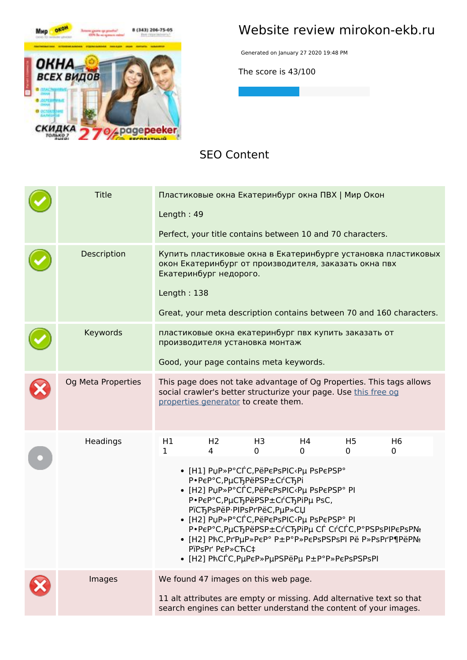

### **Website review mirokon-ekb.ru**

Generated on January 27 2020 19:48 PM

**The score is 43/100**

#### **SEO Content**

| <b>Title</b>       | Length: 49  |                                                                                                        |                | Пластиковые окна Екатеринбург окна ПВХ   Мир Окон<br>Perfect, your title contains between 10 and 70 characters.                                                                                                                                                   |                     |                                                                                                                                                         |  |
|--------------------|-------------|--------------------------------------------------------------------------------------------------------|----------------|-------------------------------------------------------------------------------------------------------------------------------------------------------------------------------------------------------------------------------------------------------------------|---------------------|---------------------------------------------------------------------------------------------------------------------------------------------------------|--|
| Description        | Length: 138 | Екатеринбург недорого.                                                                                 |                | окон Екатеринбург от производителя, заказать окна пвх                                                                                                                                                                                                             |                     | Купить пластиковые окна в Екатеринбурге установка пластиковых<br>Great, your meta description contains between 70 and 160 characters.                   |  |
| Keywords           |             | производителя установка монтаж<br>Good, your page contains meta keywords.                              |                | пластиковые окна екатеринбург пвх купить заказать от                                                                                                                                                                                                              |                     |                                                                                                                                                         |  |
| Og Meta Properties |             | properties generator to create them.                                                                   |                | social crawler's better structurize your page. Use this free og                                                                                                                                                                                                   |                     | This page does not take advantage of Og Properties. This tags allows                                                                                    |  |
| Headings           | Η1<br>1     | H <sub>2</sub><br>4<br>P.PEP°C, PuCT, PëPSP±CrCT, Pi<br>PïCЂPsPëP·PIPsPrPëC,PµP»CЏ<br>PïPsPr' PeP»CFC‡ | H3<br>$\Omega$ | H4<br>0<br>• [H1] ΡμΡ»Ρ°CΓ΄C,ΡëΡεΡsΡΙC‹Ρμ PsΡεΡSΡ°<br>• [H2] ΡμΡ»Ρ°CΓ΄C,ΡëΡεΡsΡΙC‹Ρμ PsPεΡSΡ° ΡΙ<br>P.PEP°C, PUCT, PëPSP±CrCT, PiPu PsC,<br>• [H2] PuP»P°CЃС, PëPePsPIC <pu pi<br="" pspepsp°="">• [H2] PħCΓ<sup>΄</sup>C, PμPεP» PμPSPëPμ P±P°P» PεPsPSPsPI</pu> | H <sub>5</sub><br>0 | H <sub>6</sub><br>0<br>P.PEP°C, PμC hPëPSP ± C r ChPiPμ C Γ C r C C C C P ° PSPS PIPEPS P Nº<br>• [H2] PħC,PrPμP»PεP° P±P°P»PεPsPSPsPI Pë P»PsPrP¶PëPNº |  |
| Images             |             | We found 47 images on this web page.                                                                   |                |                                                                                                                                                                                                                                                                   |                     | 11 alt attributes are empty or missing. Add alternative text so that<br>search engines can better understand the content of your images.                |  |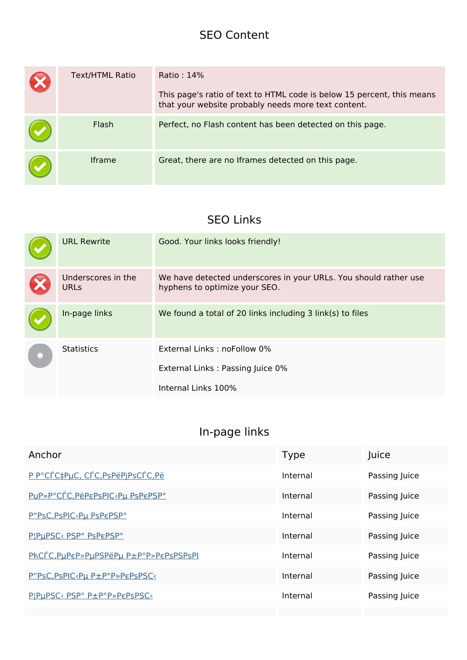#### **SEO Content**

| Text/HTML Ratio | Ratio: 14%<br>This page's ratio of text to HTML code is below 15 percent, this means<br>that your website probably needs more text content. |
|-----------------|---------------------------------------------------------------------------------------------------------------------------------------------|
| Flash           | Perfect, no Flash content has been detected on this page.                                                                                   |
| <b>Iframe</b>   | Great, there are no Iframes detected on this page.                                                                                          |

## **SEO Links**

|  | <b>URL Rewrite</b>                | Good. Your links looks friendly!                                                                  |
|--|-----------------------------------|---------------------------------------------------------------------------------------------------|
|  | Underscores in the<br><b>URLs</b> | We have detected underscores in your URLs. You should rather use<br>hyphens to optimize your SEO. |
|  | In-page links                     | We found a total of 20 links including 3 link(s) to files                                         |
|  | <b>Statistics</b>                 | External Links: noFollow 0%                                                                       |
|  |                                   | External Links: Passing Juice 0%                                                                  |
|  |                                   | Internal Links 100%                                                                               |

## **In-page links**

| Anchor                                                                                   | Type     | Juice         |
|------------------------------------------------------------------------------------------|----------|---------------|
| P P°CÉC‡PµC, CÉC, PsPëPjPsCÉC, Pë                                                        | Internal | Passing Juice |
| PuP»P°CÉC, PëPEPSPIC <pu pspepsp°<="" th=""><th>Internal</th><th>Passing Juice</th></pu> | Internal | Passing Juice |
| P"PSC, PSPIC <pu pspepsp°<="" th=""><th>Internal</th><th>Passing Juice</th></pu>         | Internal | Passing Juice |
| PIPUPSC< PSP° PsPEPSP°                                                                   | Internal | Passing Juice |
| PhCTC, PuPeP» PuPSPëPu P±P°P» PePsPSPsPI                                                 | Internal | Passing Juice |
| P"PsC, PsPIC <pu p±p°p»pepspsc<<="" th=""><th>Internal</th><th>Passing Juice</th></pu>   | Internal | Passing Juice |
| PIPUPSC< PSP° P±P°P»PEPSPSC<                                                             | Internal | Passing Juice |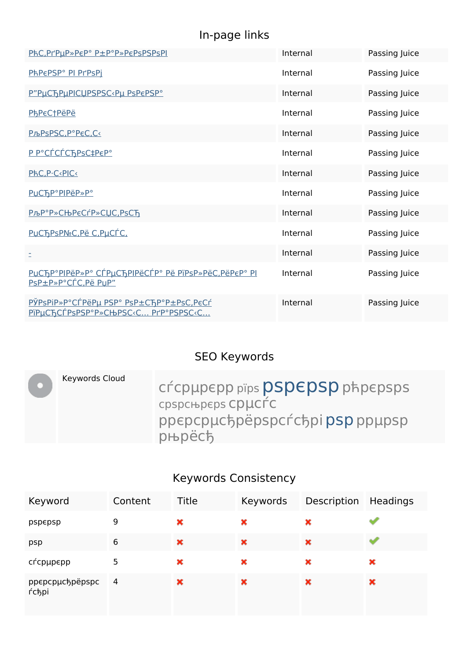# **In-page links**

| PhC.PrPuP»PEP°P±P°P»PEPSPSPSPI                                                                                                         | Internal | Passing Juice |
|----------------------------------------------------------------------------------------------------------------------------------------|----------|---------------|
| PhPEPSP° PI PrPsPi                                                                                                                     | Internal | Passing Juice |
| P"PUCTPUPICUPSPSC <pu pspepsp°<="" td=""><td>Internal</td><td>Passing Juice</td></pu>                                                  | Internal | Passing Juice |
| <b>PhPeCtPëPë</b>                                                                                                                      | Internal | Passing Juice |
| <u>PљPsPSC, акС, Ск</u>                                                                                                                | Internal | Passing Juice |
| P P°CÉCÉChPsC‡PEP°                                                                                                                     | Internal | Passing Juice |
| PhC, P.C.PIC.                                                                                                                          | Internal | Passing Juice |
| PUCTP°PIPëP»P°                                                                                                                         | Internal | Passing Juice |
| <u> КалькѴляС, РѕСЂ</u>                                                                                                                | Internal | Passing Juice |
| PUCTPSPN <sub>º</sub> C, Pë C, PuCÍC,                                                                                                  | Internal | Passing Juice |
| Ξ                                                                                                                                      | Internal | Passing Juice |
| PUCTP°PIPëP»P° CTPUCTPIPëCTP° Pë PiPsP»PëC,PëPEP° PI<br>PsP±P»P°CÍC.Pë PuP"                                                            | Internal | Passing Juice |
| PЎPSPIP»P°CTPëPu PSP° PSP±CTP°P±PsC,PeCT<br>PïPµCЂCЃPsPSP°P»CЊPSC <c prp°pspsc<c<="" td=""><td>Internal</td><td>Passing Juice</td></c> | Internal | Passing Juice |

## **SEO Keywords**

| Keywords Cloud | CÉCPUPEPP pips PSPEPSP phpepsps<br>срарсные сристс<br>ppepcpuchpëpspcrchpipsp ppupsp<br>рњрёсђ |
|----------------|------------------------------------------------------------------------------------------------|
|                |                                                                                                |

## **Keywords Consistency**

| Keyword                           | Content | Title | Keywords | Description | Headings |
|-----------------------------------|---------|-------|----------|-------------|----------|
| pspepsp                           | 9       | ×     | ×        | ×           |          |
| psp                               | 6       | ×     | ×        | ×           |          |
| сѓсрµр $\epsilon$ рр              | 5       | ×     | ×        | ×           | ×        |
| ppepcpµc5pëpspc 4<br><b>ŕсђрі</b> |         | ×     | ×        | ×           | ×        |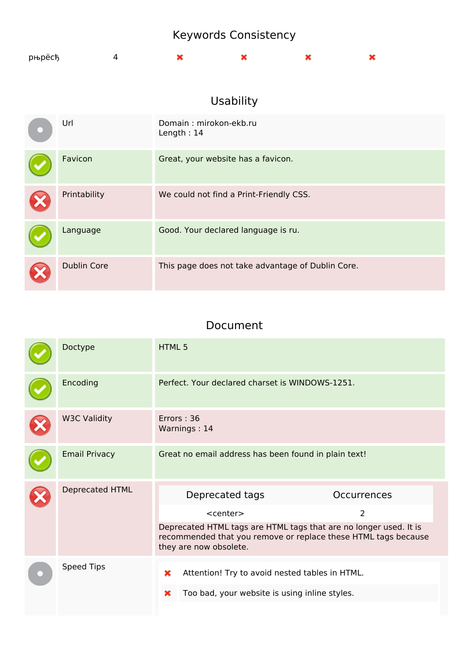# Keywords Consistency

| рњрёсђ |  |  |  |
|--------|--|--|--|
|        |  |  |  |

## Usability

| Url                | Domain: mirokon-ekb.ru<br>Length: $14$            |
|--------------------|---------------------------------------------------|
| Favicon            | Great, your website has a favicon.                |
| Printability       | We could not find a Print-Friendly CSS.           |
| Language           | Good. Your declared language is ru.               |
| <b>Dublin Core</b> | This page does not take advantage of Dublin Core. |

#### Document

| Doctype              | HTML <sub>5</sub>                                                                                                                                                                                                                          |  |  |  |  |
|----------------------|--------------------------------------------------------------------------------------------------------------------------------------------------------------------------------------------------------------------------------------------|--|--|--|--|
| Encoding             | Perfect. Your declared charset is WINDOWS-1251.                                                                                                                                                                                            |  |  |  |  |
| <b>W3C Validity</b>  | Errors: 36<br>Warnings: 14                                                                                                                                                                                                                 |  |  |  |  |
| <b>Email Privacy</b> | Great no email address has been found in plain text!                                                                                                                                                                                       |  |  |  |  |
| Deprecated HTML      | Deprecated tags<br><b>Occurrences</b><br>$\overline{2}$<br>$<$ center $>$<br>Deprecated HTML tags are HTML tags that are no longer used. It is<br>recommended that you remove or replace these HTML tags because<br>they are now obsolete. |  |  |  |  |
| Speed Tips           | Attention! Try to avoid nested tables in HTML.<br>×<br>Too bad, your website is using inline styles.<br>×                                                                                                                                  |  |  |  |  |